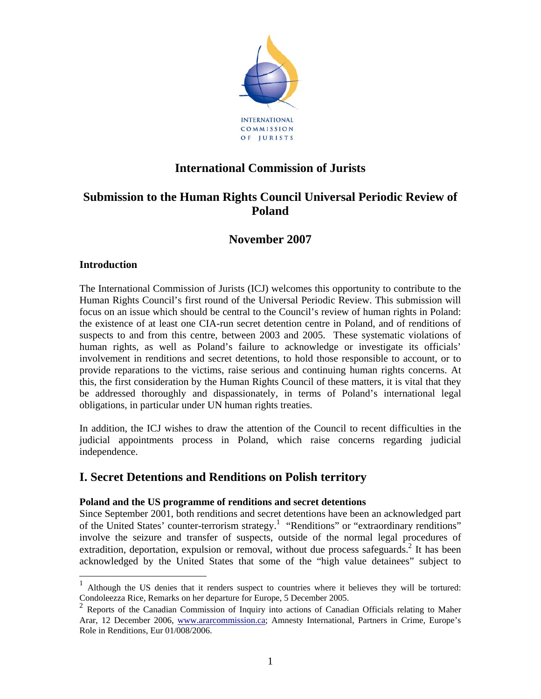

## **International Commission of Jurists**

# **Submission to the Human Rights Council Universal Periodic Review of Poland**

## **November 2007**

### **Introduction**

The International Commission of Jurists (ICJ) welcomes this opportunity to contribute to the Human Rights Council's first round of the Universal Periodic Review. This submission will focus on an issue which should be central to the Council's review of human rights in Poland: the existence of at least one CIA-run secret detention centre in Poland, and of renditions of suspects to and from this centre, between 2003 and 2005. These systematic violations of human rights, as well as Poland's failure to acknowledge or investigate its officials' involvement in renditions and secret detentions, to hold those responsible to account, or to provide reparations to the victims, raise serious and continuing human rights concerns. At this, the first consideration by the Human Rights Council of these matters, it is vital that they be addressed thoroughly and dispassionately, in terms of Poland's international legal obligations, in particular under UN human rights treaties.

In addition, the ICJ wishes to draw the attention of the Council to recent difficulties in the judicial appointments process in Poland, which raise concerns regarding judicial independence.

## **I. Secret Detentions and Renditions on Polish territory**

### **Poland and the US programme of renditions and secret detentions**

Since September 2001, both renditions and secret detentions have been an acknowledged part of the United States' counter-terrorism strategy.<sup>1</sup> "Renditions" or "extraordinary renditions" involve the seizure and transfer of suspects, outside of the normal legal procedures of extradition, deportation, expulsion or removal, without due process safeguards.<sup>2</sup> It has been acknowledged by the United States that some of the "high value detainees" subject to

<sup>1</sup> Although the US denies that it renders suspect to countries where it believes they will be tortured: Condoleezza Rice, Remarks on her departure for Europe, 5 December 2005.

<sup>2</sup> Reports of the Canadian Commission of Inquiry into actions of Canadian Officials relating to Maher Arar, 12 December 2006, www.ararcommission.ca; Amnesty International, Partners in Crime, Europe's Role in Renditions, Eur 01/008/2006.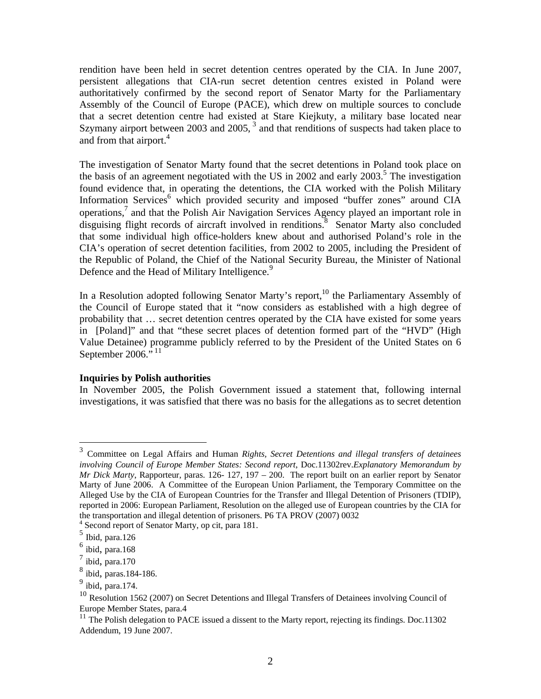rendition have been held in secret detention centres operated by the CIA. In June 2007, persistent allegations that CIA-run secret detention centres existed in Poland were authoritatively confirmed by the second report of Senator Marty for the Parliamentary Assembly of the Council of Europe (PACE), which drew on multiple sources to conclude that a secret detention centre had existed at Stare Kiejkuty, a military base located near Szymany airport between 2003 and 2005,<sup>3</sup> and that renditions of suspects had taken place to and from that airport.<sup>4</sup>

The investigation of Senator Marty found that the secret detentions in Poland took place on the basis of an agreement negotiated with the US in 2002 and early  $2003$ <sup>5</sup>. The investigation found evidence that, in operating the detentions, the CIA worked with the Polish Military Information Services<sup>6</sup> which provided security and imposed "buffer zones" around CIA operations,<sup>7</sup> and that the Polish Air Navigation Services Agency played an important role in disguising flight records of aircraft involved in renditions.<sup>8</sup> Senator Marty also concluded that some individual high office-holders knew about and authorised Poland's role in the CIA's operation of secret detention facilities, from 2002 to 2005, including the President of the Republic of Poland, the Chief of the National Security Bureau, the Minister of National Defence and the Head of Military Intelligence.<sup>9</sup>

In a Resolution adopted following Senator Marty's report,<sup>10</sup> the Parliamentary Assembly of the Council of Europe stated that it "now considers as established with a high degree of probability that … secret detention centres operated by the CIA have existed for some years in [Poland]" and that "these secret places of detention formed part of the "HVD" (High Value Detainee) programme publicly referred to by the President of the United States on 6 September 2006." $^{11}$ 

### **Inquiries by Polish authorities**

In November 2005, the Polish Government issued a statement that, following internal investigations, it was satisfied that there was no basis for the allegations as to secret detention

<sup>3</sup> Committee on Legal Affairs and Human *Rights, Secret Detentions and illegal transfers of detainees involving Council of Europe Member States: Second report*, Doc.11302rev.*Explanatory Memorandum by Mr Dick Marty*, Rapporteur, paras. 126- 127, 197 – 200. The report built on an earlier report by Senator Marty of June 2006. A Committee of the European Union Parliament, the Temporary Committee on the Alleged Use by the CIA of European Countries for the Transfer and Illegal Detention of Prisoners (TDIP), reported in 2006: European Parliament, Resolution on the alleged use of European countries by the CIA for the transportation and illegal detention of prisoners. P6 TA PROV (2007) 0032 4

<sup>&</sup>lt;sup>4</sup> Second report of Senator Marty, op cit, para 181.

 $5$  Ibid, para.126

 $\frac{6}{7}$  ibid, para.168

ibid, para.170

<sup>8</sup> ibid, paras.184-186.

 $9 \text{ ibid}, \text{para}.174.$ 

<sup>&</sup>lt;sup>10</sup> Resolution 1562 (2007) on Secret Detentions and Illegal Transfers of Detainees involving Council of Europe Member States, para.4

 $11$  The Polish delegation to PACE issued a dissent to the Marty report, rejecting its findings. Doc.11302 Addendum, 19 June 2007.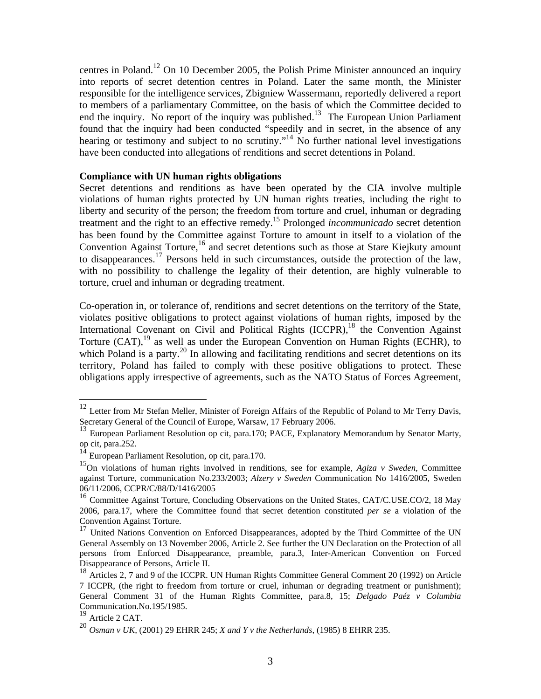centres in Poland.12 On 10 December 2005, the Polish Prime Minister announced an inquiry into reports of secret detention centres in Poland. Later the same month, the Minister responsible for the intelligence services, Zbigniew Wassermann, reportedly delivered a report to members of a parliamentary Committee, on the basis of which the Committee decided to end the inquiry. No report of the inquiry was published.<sup>13</sup> The European Union Parliament found that the inquiry had been conducted "speedily and in secret, in the absence of any hearing or testimony and subject to no scrutiny."<sup>14</sup> No further national level investigations have been conducted into allegations of renditions and secret detentions in Poland.

#### **Compliance with UN human rights obligations**

Secret detentions and renditions as have been operated by the CIA involve multiple violations of human rights protected by UN human rights treaties, including the right to liberty and security of the person; the freedom from torture and cruel, inhuman or degrading treatment and the right to an effective remedy.15 Prolonged *incommunicado* secret detention has been found by the Committee against Torture to amount in itself to a violation of the Convention Against Torture,<sup>16</sup> and secret detentions such as those at Stare Kiejkuty amount to disappearances.<sup>17</sup> Persons held in such circumstances, outside the protection of the law. with no possibility to challenge the legality of their detention, are highly vulnerable to torture, cruel and inhuman or degrading treatment.

Co-operation in, or tolerance of, renditions and secret detentions on the territory of the State, violates positive obligations to protect against violations of human rights, imposed by the International Covenant on Civil and Political Rights (ICCPR),<sup>18</sup> the Convention Against Torture  $(CAT)$ , <sup>19</sup> as well as under the European Convention on Human Rights (ECHR), to which Poland is a party.<sup>20</sup> In allowing and facilitating renditions and secret detentions on its territory, Poland has failed to comply with these positive obligations to protect. These obligations apply irrespective of agreements, such as the NATO Status of Forces Agreement,

-

 $12$  Letter from Mr Stefan Meller, Minister of Foreign Affairs of the Republic of Poland to Mr Terry Davis, Secretary General of the Council of Europe, Warsaw, 17 February 2006.

<sup>&</sup>lt;sup>13</sup> European Parliament Resolution op cit, para.170; PACE, Explanatory Memorandum by Senator Marty, op cit, para.252.

<sup>14</sup> European Parliament Resolution, op cit, para.170.

<sup>15</sup>On violations of human rights involved in renditions, see for example, *Agiza v Sweden*, Committee against Torture, communication No.233/2003; *Alzery v Sweden* Communication No 1416/2005, Sweden 06/11/2006, CCPR/C/88/D/1416/2005

<sup>&</sup>lt;sup>16</sup> Committee Against Torture, Concluding Observations on the United States, CAT/C.USE.CO/2, 18 May 2006, para.17, where the Committee found that secret detention constituted *per se* a violation of the Convention Against Torture.

<sup>&</sup>lt;sup>17</sup> United Nations Convention on Enforced Disappearances, adopted by the Third Committee of the UN General Assembly on 13 November 2006, Article 2. See further the UN Declaration on the Protection of all persons from Enforced Disappearance, preamble, para.3, Inter-American Convention on Forced Disappearance of Persons, Article II.

<sup>&</sup>lt;sup>18</sup> Articles 2, 7 and 9 of the ICCPR. UN Human Rights Committee General Comment 20 (1992) on Article 7 ICCPR, (the right to freedom from torture or cruel, inhuman or degrading treatment or punishment); General Comment 31 of the Human Rights Committee, para.8, 15; *Delgado Paéz v Columbia* Communication.No.195/1985.

<sup>&</sup>lt;sup>19</sup> Article 2 CAT.

<sup>20</sup> *Osman v UK,* (2001) 29 EHRR 245; *X and Y v the Netherlands*, (1985) 8 EHRR 235.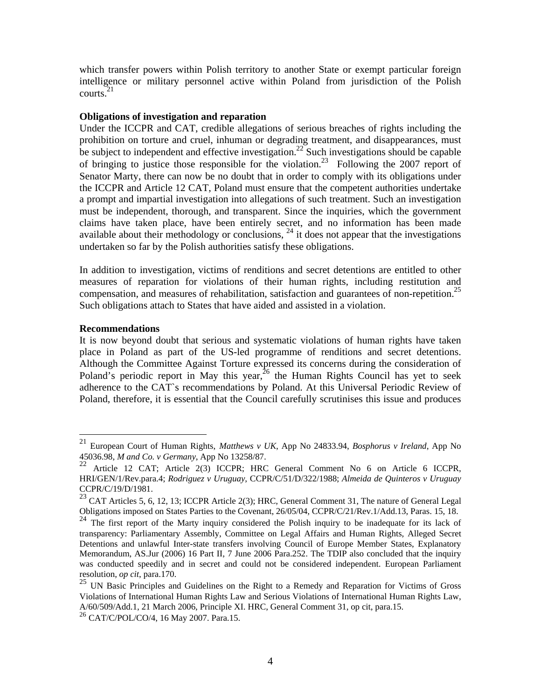which transfer powers within Polish territory to another State or exempt particular foreign intelligence or military personnel active within Poland from jurisdiction of the Polish courts. $21$ 

### **Obligations of investigation and reparation**

Under the ICCPR and CAT, credible allegations of serious breaches of rights including the prohibition on torture and cruel, inhuman or degrading treatment, and disappearances, must be subject to independent and effective investigation.<sup>22</sup> Such investigations should be capable of bringing to justice those responsible for the violation.<sup>23</sup> Following the 2007 report of Senator Marty, there can now be no doubt that in order to comply with its obligations under the ICCPR and Article 12 CAT, Poland must ensure that the competent authorities undertake a prompt and impartial investigation into allegations of such treatment. Such an investigation must be independent, thorough, and transparent. Since the inquiries, which the government claims have taken place, have been entirely secret, and no information has been made available about their methodology or conclusions,  $^{24}$  it does not appear that the investigations undertaken so far by the Polish authorities satisfy these obligations.

In addition to investigation, victims of renditions and secret detentions are entitled to other measures of reparation for violations of their human rights, including restitution and compensation, and measures of rehabilitation, satisfaction and guarantees of non-repetition.<sup>25</sup> Such obligations attach to States that have aided and assisted in a violation.

#### **Recommendations**

-

It is now beyond doubt that serious and systematic violations of human rights have taken place in Poland as part of the US-led programme of renditions and secret detentions. Although the Committee Against Torture expressed its concerns during the consideration of Poland's periodic report in May this year,  $26$  the Human Rights Council has yet to seek adherence to the CAT`s recommendations by Poland. At this Universal Periodic Review of Poland, therefore, it is essential that the Council carefully scrutinises this issue and produces

<sup>21</sup> European Court of Human Rights, *Matthews v UK*, App No 24833.94, *Bosphorus v Ireland*, App No 45036.98, *M and Co. v Germany*, App No 13258/87.

<sup>22</sup> Article 12 CAT; Article 2(3) ICCPR; HRC General Comment No 6 on Article 6 ICCPR, HRI/GEN/1/Rev.para.4; *Rodriguez v Uruguay*, CCPR/C/51/D/322/1988; *Almeida de Quinteros v Uruguay* CCPR/C/19/D/1981.

 $^{23}$  CAT Articles 5, 6, 12, 13; ICCPR Article 2(3); HRC, General Comment 31, The nature of General Legal Obligations imposed on States Parties to the Covenant, 26/05/04, CCPR/C/21/Rev.1/Add.13, Paras. 15, 18.

<sup>&</sup>lt;sup>24</sup> The first report of the Marty inquiry considered the Polish inquiry to be inadequate for its lack of transparency: Parliamentary Assembly, Committee on Legal Affairs and Human Rights, Alleged Secret Detentions and unlawful Inter-state transfers involving Council of Europe Member States, Explanatory Memorandum, AS.Jur (2006) 16 Part II, 7 June 2006 Para.252. The TDIP also concluded that the inquiry was conducted speedily and in secret and could not be considered independent. European Parliament resolution, *op cit*, para.170.

 $25$  UN Basic Principles and Guidelines on the Right to a Remedy and Reparation for Victims of Gross Violations of International Human Rights Law and Serious Violations of International Human Rights Law, A/60/509/Add.1, 21 March 2006, Principle XI. HRC, General Comment 31, op cit, para.15.

<sup>26</sup> CAT/C/POL/CO/4, 16 May 2007. Para.15.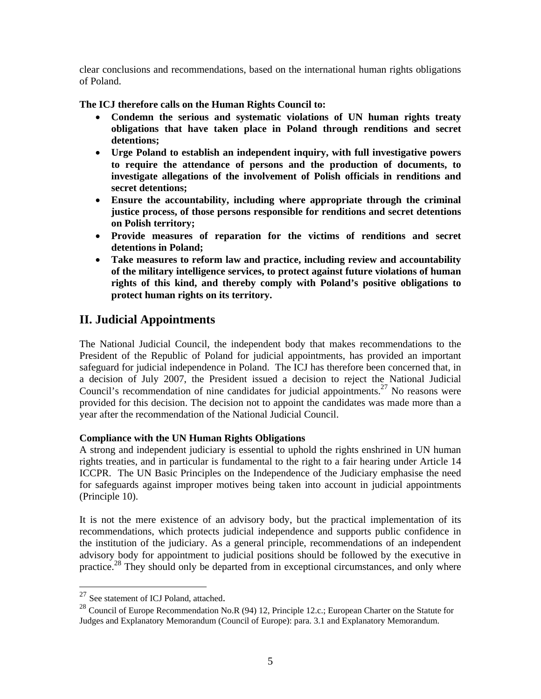clear conclusions and recommendations, based on the international human rights obligations of Poland.

**The ICJ therefore calls on the Human Rights Council to:** 

- **Condemn the serious and systematic violations of UN human rights treaty obligations that have taken place in Poland through renditions and secret detentions;**
- **Urge Poland to establish an independent inquiry, with full investigative powers to require the attendance of persons and the production of documents, to investigate allegations of the involvement of Polish officials in renditions and secret detentions;**
- **Ensure the accountability, including where appropriate through the criminal justice process, of those persons responsible for renditions and secret detentions on Polish territory;**
- **Provide measures of reparation for the victims of renditions and secret detentions in Poland;**
- **Take measures to reform law and practice, including review and accountability of the military intelligence services, to protect against future violations of human rights of this kind, and thereby comply with Poland's positive obligations to protect human rights on its territory.**

# **II. Judicial Appointments**

The National Judicial Council, the independent body that makes recommendations to the President of the Republic of Poland for judicial appointments, has provided an important safeguard for judicial independence in Poland. The ICJ has therefore been concerned that, in a decision of July 2007, the President issued a decision to reject the National Judicial Council's recommendation of nine candidates for judicial appointments.<sup>27</sup> No reasons were provided for this decision. The decision not to appoint the candidates was made more than a year after the recommendation of the National Judicial Council.

### **Compliance with the UN Human Rights Obligations**

A strong and independent judiciary is essential to uphold the rights enshrined in UN human rights treaties, and in particular is fundamental to the right to a fair hearing under Article 14 ICCPR. The UN Basic Principles on the Independence of the Judiciary emphasise the need for safeguards against improper motives being taken into account in judicial appointments (Principle 10).

It is not the mere existence of an advisory body, but the practical implementation of its recommendations, which protects judicial independence and supports public confidence in the institution of the judiciary. As a general principle, recommendations of an independent advisory body for appointment to judicial positions should be followed by the executive in practice.<sup>28</sup> They should only be departed from in exceptional circumstances, and only where

<sup>&</sup>lt;sup>27</sup> See statement of ICJ Poland, attached.

<sup>&</sup>lt;sup>28</sup> Council of Europe Recommendation No.R (94) 12, Principle 12.c.; European Charter on the Statute for Judges and Explanatory Memorandum (Council of Europe): para. 3.1 and Explanatory Memorandum.